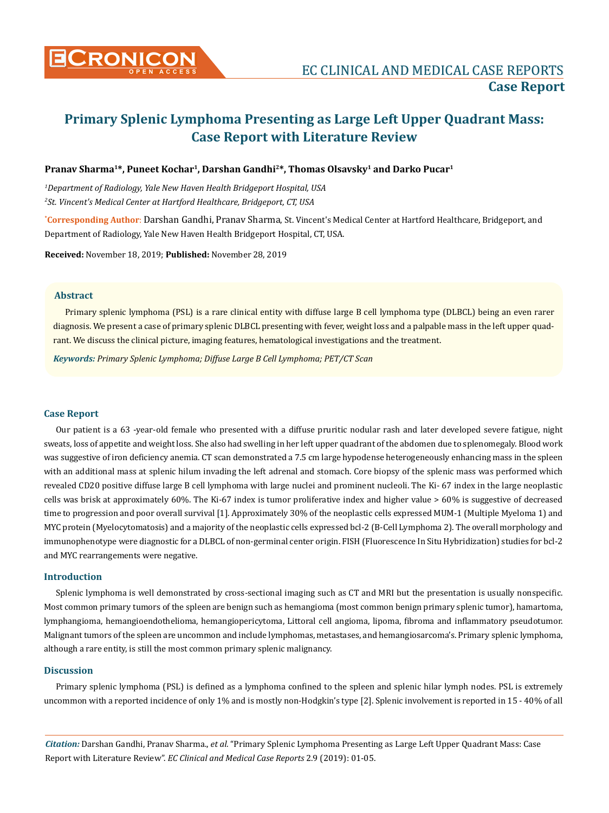

# **Primary Splenic Lymphoma Presenting as Large Left Upper Quadrant Mass: Case Report with Literature Review**

### **Pranav Sharma1\*, Puneet Kochar1, Darshan Gandhi2\*, Thomas Olsavsky1 and Darko Pucar1**

*1 Department of Radiology, Yale New Haven Health Bridgeport Hospital, USA 2 St. Vincent's Medical Center at Hartford Healthcare, Bridgeport, CT, USA*

**\* Corresponding Author**: Darshan Gandhi, Pranav Sharma, St. Vincent's Medical Center at Hartford Healthcare, Bridgeport, and Department of Radiology, Yale New Haven Health Bridgeport Hospital, CT, USA.

**Received:** November 18, 2019; **Published:** November 28, 2019

### **Abstract**

Primary splenic lymphoma (PSL) is a rare clinical entity with diffuse large B cell lymphoma type (DLBCL) being an even rarer diagnosis. We present a case of primary splenic DLBCL presenting with fever, weight loss and a palpable mass in the left upper quadrant. We discuss the clinical picture, imaging features, hematological investigations and the treatment.

*Keywords: Primary Splenic Lymphoma; Diffuse Large B Cell Lymphoma; PET/CT Scan*

#### **Case Report**

Our patient is a 63 -year-old female who presented with a diffuse pruritic nodular rash and later developed severe fatigue, night sweats, loss of appetite and weight loss. She also had swelling in her left upper quadrant of the abdomen due to splenomegaly. Blood work was suggestive of iron deficiency anemia. CT scan demonstrated a 7.5 cm large hypodense heterogeneously enhancing mass in the spleen with an additional mass at splenic hilum invading the left adrenal and stomach. Core biopsy of the splenic mass was performed which revealed CD20 positive diffuse large B cell lymphoma with large nuclei and prominent nucleoli. The Ki- 67 index in the large neoplastic cells was brisk at approximately 60%. The Ki-67 index is tumor proliferative index and higher value > 60% is suggestive of decreased time to progression and poor overall survival [1]. Approximately 30% of the neoplastic cells expressed MUM-1 (Multiple Myeloma 1) and MYC protein (Myelocytomatosis) and a majority of the neoplastic cells expressed bcl-2 (B-Cell Lymphoma 2). The overall morphology and immunophenotype were diagnostic for a DLBCL of non-germinal center origin. FISH (Fluorescence In Situ Hybridization) studies for bcl-2 and MYC rearrangements were negative.

#### **Introduction**

Splenic lymphoma is well demonstrated by cross-sectional imaging such as CT and MRI but the presentation is usually nonspecific. Most common primary tumors of the spleen are benign such as hemangioma (most common benign primary splenic tumor), hamartoma, lymphangioma, hemangioendothelioma, hemangiopericytoma, Littoral cell angioma, lipoma, fibroma and inflammatory pseudotumor. Malignant tumors of the spleen are uncommon and include lymphomas, metastases, and hemangiosarcoma's. Primary splenic lymphoma, although a rare entity, is still the most common primary splenic malignancy.

#### **Discussion**

Primary splenic lymphoma (PSL) is defined as a lymphoma confined to the spleen and splenic hilar lymph nodes. PSL is extremely uncommon with a reported incidence of only 1% and is mostly non-Hodgkin's type [2]. Splenic involvement is reported in 15 - 40% of all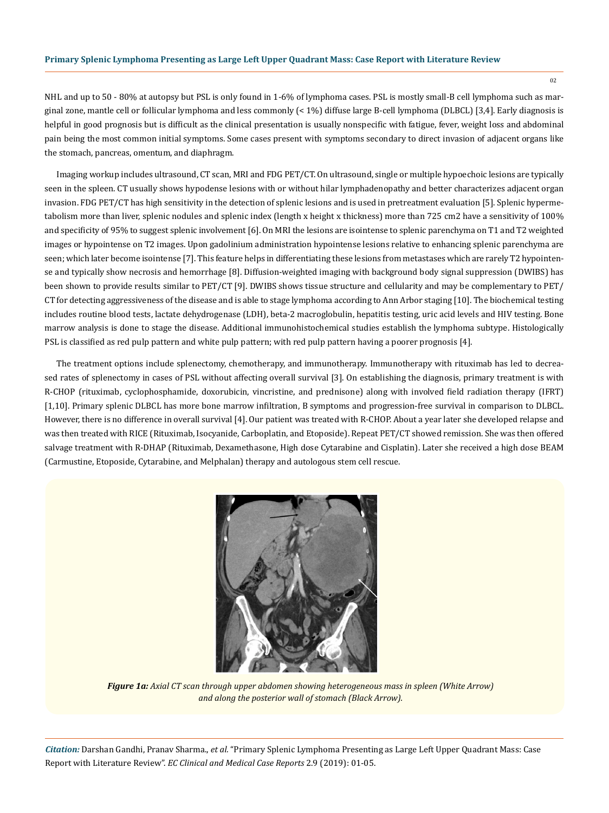02

NHL and up to 50 - 80% at autopsy but PSL is only found in 1-6% of lymphoma cases. PSL is mostly small-B cell lymphoma such as marginal zone, mantle cell or follicular lymphoma and less commonly (< 1%) diffuse large B-cell lymphoma (DLBCL) [3,4]. Early diagnosis is helpful in good prognosis but is difficult as the clinical presentation is usually nonspecific with fatigue, fever, weight loss and abdominal pain being the most common initial symptoms. Some cases present with symptoms secondary to direct invasion of adjacent organs like the stomach, pancreas, omentum, and diaphragm.

Imaging workup includes ultrasound, CT scan, MRI and FDG PET/CT. On ultrasound, single or multiple hypoechoic lesions are typically seen in the spleen. CT usually shows hypodense lesions with or without hilar lymphadenopathy and better characterizes adjacent organ invasion. FDG PET/CT has high sensitivity in the detection of splenic lesions and is used in pretreatment evaluation [5]. Splenic hypermetabolism more than liver, splenic nodules and splenic index (length x height x thickness) more than 725 cm2 have a sensitivity of 100% and specificity of 95% to suggest splenic involvement [6]. On MRI the lesions are isointense to splenic parenchyma on T1 and T2 weighted images or hypointense on T2 images. Upon gadolinium administration hypointense lesions relative to enhancing splenic parenchyma are seen; which later become isointense [7]. This feature helps in differentiating these lesions from metastases which are rarely T2 hypointense and typically show necrosis and hemorrhage [8]. Diffusion-weighted imaging with background body signal suppression (DWIBS) has been shown to provide results similar to PET/CT [9]. DWIBS shows tissue structure and cellularity and may be complementary to PET/ CT for detecting aggressiveness of the disease and is able to stage lymphoma according to Ann Arbor staging [10]. The biochemical testing includes routine blood tests, lactate dehydrogenase (LDH), beta-2 macroglobulin, hepatitis testing, uric acid levels and HIV testing. Bone marrow analysis is done to stage the disease. Additional immunohistochemical studies establish the lymphoma subtype. Histologically PSL is classified as red pulp pattern and white pulp pattern; with red pulp pattern having a poorer prognosis [4].

The treatment options include splenectomy, chemotherapy, and immunotherapy. Immunotherapy with rituximab has led to decreased rates of splenectomy in cases of PSL without affecting overall survival [3]. On establishing the diagnosis, primary treatment is with R-CHOP (rituximab, cyclophosphamide, doxorubicin, vincristine, and prednisone) along with involved field radiation therapy (IFRT) [1,10]. Primary splenic DLBCL has more bone marrow infiltration, B symptoms and progression-free survival in comparison to DLBCL. However, there is no difference in overall survival [4]. Our patient was treated with R-CHOP. About a year later she developed relapse and was then treated with RICE (Rituximab, Isocyanide, Carboplatin, and Etoposide). Repeat PET/CT showed remission. She was then offered salvage treatment with R-DHAP (Rituximab, Dexamethasone, High dose Cytarabine and Cisplatin). Later she received a high dose BEAM (Carmustine, Etoposide, Cytarabine, and Melphalan) therapy and autologous stem cell rescue.



*Figure 1a: Axial CT scan through upper abdomen showing heterogeneous mass in spleen (White Arrow) and along the posterior wall of stomach (Black Arrow).*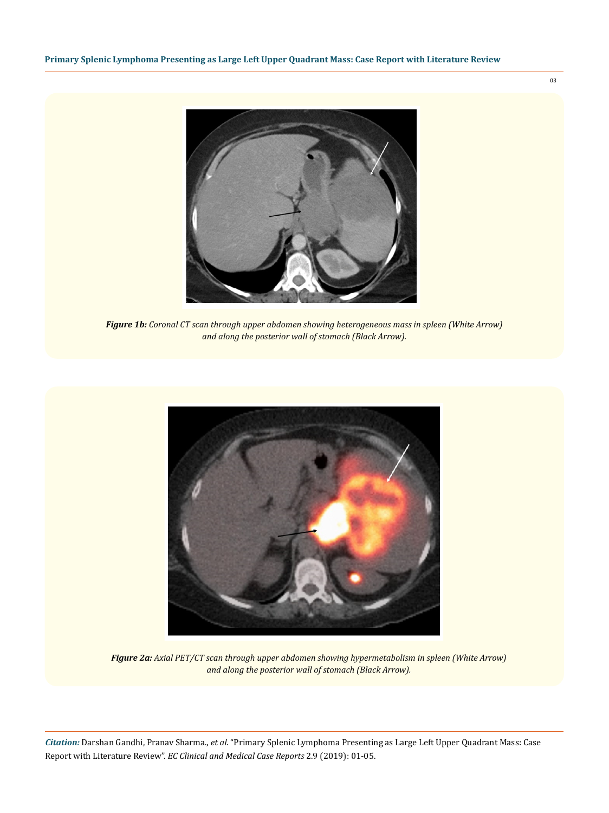

*Figure 1b: Coronal CT scan through upper abdomen showing heterogeneous mass in spleen (White Arrow) and along the posterior wall of stomach (Black Arrow).*



*Figure 2a: Axial PET/CT scan through upper abdomen showing hypermetabolism in spleen (White Arrow) and along the posterior wall of stomach (Black Arrow).*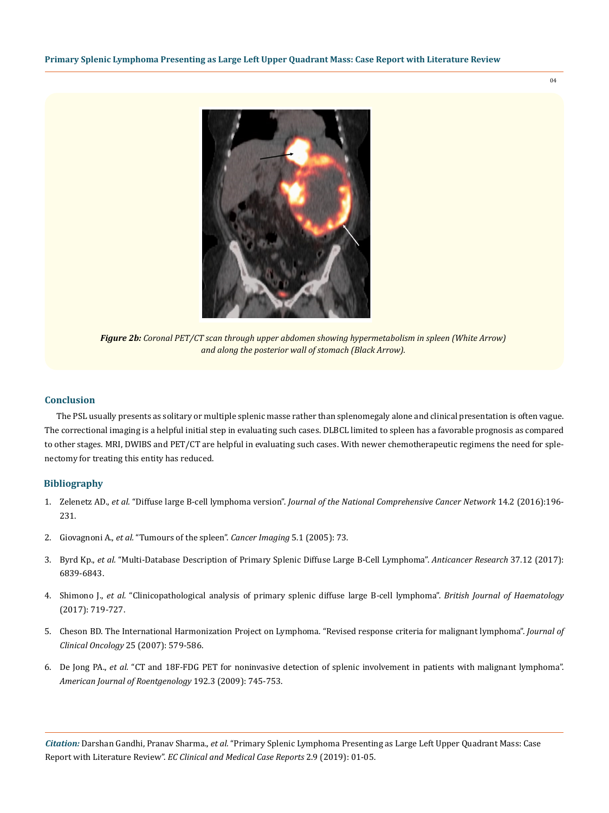

*Figure 2b: Coronal PET/CT scan through upper abdomen showing hypermetabolism in spleen (White Arrow) and along the posterior wall of stomach (Black Arrow).*

#### **Conclusion**

The PSL usually presents as solitary or multiple splenic masse rather than splenomegaly alone and clinical presentation is often vague. The correctional imaging is a helpful initial step in evaluating such cases. DLBCL limited to spleen has a favorable prognosis as compared to other stages. MRI, DWIBS and PET/CT are helpful in evaluating such cases. With newer chemotherapeutic regimens the need for splenectomy for treating this entity has reduced.

## **Bibliography**

- 1. Zelenetz AD., *et al.* "Diffuse large B-cell lymphoma version". *[Journal of the National Comprehensive Cancer Network](https://www.ncbi.nlm.nih.gov/pubmed/26850490)* 14.2 (2016):196- [231.](https://www.ncbi.nlm.nih.gov/pubmed/26850490)
- 2. Giovagnoni A., *et al.* "Tumours of the spleen". *Cancer Imaging* 5.1 (2005): 73.
- 3. Byrd Kp., *et al.* ["Multi-Database Description of Primary Splenic Diffuse Large B-Cell Lymphoma".](https://www.ncbi.nlm.nih.gov/pubmed/29187463) *Anticancer Research* 37.12 (2017): [6839-6843.](https://www.ncbi.nlm.nih.gov/pubmed/29187463)
- 4. Shimono J., *et al.* ["Clinicopathological analysis of primary splenic diffuse large B-cell lymphoma".](https://www.ncbi.nlm.nih.gov/pubmed/28493517) *British Journal of Haematology* [\(2017\): 719-727.](https://www.ncbi.nlm.nih.gov/pubmed/28493517)
- 5. [Cheson BD. The International Harmonization Project on Lymphoma. "Revised response criteria for malignant lymphoma".](https://www.ncbi.nlm.nih.gov/pubmed/17242396) *Journal of [Clinical Oncology](https://www.ncbi.nlm.nih.gov/pubmed/17242396)* 25 (2007): 579-586.
- 6. De Jong PA., *et al.* ["CT and 18F-FDG PET for noninvasive detection of splenic involvement in patients with malignant lymphoma".](https://www.ajronline.org/doi/10.2214/AJR.08.1160) *[American Journal of Roentgenology](https://www.ajronline.org/doi/10.2214/AJR.08.1160)* 192.3 (2009): 745-753.